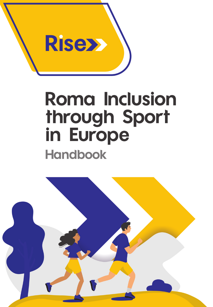

# **Roma Inclusion** through Sport<br>in Europe **Handbook**

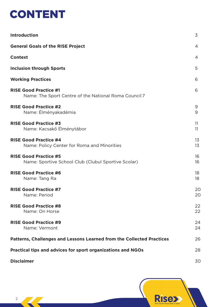

| <b>Introduction</b>                                                                   | 3              |
|---------------------------------------------------------------------------------------|----------------|
| <b>General Goals of the RISE Project</b>                                              | $\overline{4}$ |
| <b>Context</b>                                                                        | $\overline{4}$ |
| <b>Inclusion through Sports</b>                                                       | 5              |
| <b>Working Practices</b>                                                              | 6              |
| <b>RISE Good Practice #1</b><br>Name: The Sport Centre of the National Roma Council 7 | 6              |
| <b>RISE Good Practice #2</b><br>Name: Élményakadémia                                  | 9<br>9         |
| <b>RISE Good Practice #3</b><br>Name: Kacsakő Élménytábor                             | 11<br>11       |
| <b>RISE Good Practice #4</b><br>Name: Policy Center for Roma and Minorities           | 13<br>13       |
| <b>RISE Good Practice #5</b><br>Name: Sportive School Club (Clubul Sportive Scolar)   | 16<br>16       |
| <b>RISE Good Practice #6</b><br>Name: Tang Ra                                         | 18<br>18       |
| <b>RISE Good Practice #7</b><br>Name: Period                                          | 20<br>20       |
| <b>RISE Good Practice #8</b><br>Name: On Horse                                        | 22<br>22       |
| <b>RISE Good Practice #9</b><br>Name: Vermont                                         | 24<br>24       |
| Patterns, Challenges and Lessons Learned from the Collected Practices                 | 26             |
| Practical tips and advices for sport organizations and NGOs                           | 28             |
| <b>Disclaimer</b>                                                                     | 30             |

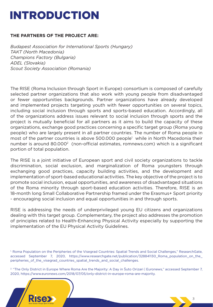### INTRODUCTION

#### **THE PARTNERS OF THE PROJECT ARE:**

*Budapest Association for International Sports (Hungary) TAKT (North Macedonia) Champions Factory (Bulgaria) ADEL (Slovakia) Scout Society Association (Romania)*

The RISE (Roma Inclusion through Sport in Europe) consortium is composed of carefully selected partner organizations that also work with young people from disadvantaged or fewer opportunities backgrounds. Partner organizations have already developed and implemented projects targeting youth with fewer opportunities on several topics, including social inclusion through sports and sports-based education. Accordingly, all of the organizations address issues relevant to social inclusion through sports and the project is mutually beneficial for all partners as it aims to build the capacity of these organizations, exchange good practices concerning a specific target group (Roma young people) who are largely present in all partner countries. The number of Roma people in most of the partner countries is above 500.000 people<sup>1</sup> while in North Macedonia their number is around 80.000<sup>2</sup> (non-official estimates, romnews.com) which is a significant portion of total population.

The RISE is a joint initiative of European sport and civil society organizations to tackle discrimination, social exclusion, and marginalization of Roma youngsters through exchanging good practices, capacity building activities, and the development and implementation of sport-based educational activities. The key objective of the project is to promote social inclusion, equal opportunities, and awareness of disadvantaged situations of the Roma minority through sport-based education activities. Therefore, RISE is an 18-month long Small Collaborative Partnership framed under the Erasmus+ Sport priority - encouraging social inclusion and equal opportunities in and through sports.

RISE is addressing the needs of underprivileged young EU citizens and organizations dealing with this target group. Complementary, the project also addresses the promotion of principles related to Health-Enhancing Physical Activity especially by supporting the implementation of the EU Physical Activity Guidelines.

2. "The Only District in Europe Where Roma Are the Majority: A Day in Šuto Orizari | Euronews," accessed September 7, 2020, [https://www.euronews.com/2018/07/05/only-district-in-europe-roma-are-majority.](https://www.euronews.com/2018/07/05/only-district-in-europe-roma-are-majority)



<sup>&</sup>lt;sup>1</sup> Roma Population on the Peripheries of the Visegrad Countries: Spatial Trends and Social Challenges," ResearchGate, accessed September 7, 2020, [https://www.researchgate.net/publication/328841130\\_Roma\\_population\\_on\\_the\\_](https://www.researchgate.net/publication/328841130_Roma_population_on_the_) peripheries\_of\_the\_visegrad\_countries\_spatial\_trends\_and\_social\_challenges.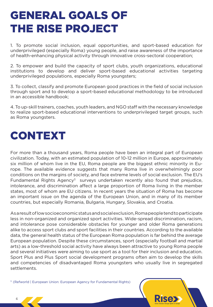### GENERAL GOALS OF THE RISE PROJECT

1. To promote social inclusion, equal opportunities, and sport-based education for underprivileged (especially Roma) young people, and raise awareness of the importance of health-enhancing physical activity through innovative cross-sectoral cooperation;

2. To empower and build the capacity of sport clubs, youth organizations, educational institutions to develop and deliver sport-based educational activities targeting underprivileged populations, especially Roma youngsters;

3. To collect, classify and promote European good practices in the field of social inclusion through sport and to develop a sport-based educational methodology to be introduced in an accessible handbook;

4. To up-skill trainers, coaches, youth leaders, and NGO staff with the necessary knowledge to realize sport-based educational interventions to underprivileged target groups, such as Roma youngsters.

### CONTEXT

For more than a thousand years, Roma people have been an integral part of European civilization. Today, with an estimated population of 10-12 million in Europe, approximately six million of whom live in the EU, Roma people are the biggest ethnic minority in Europe. The available evidence suggests that many Roma live in overwhelmingly poor conditions on the margins of society, and face extreme levels of social exclusion. The EU's Fundamental Rights Agency<sup>3</sup> surveys undertaken recently also found that prejudice, intolerance, and discrimination affect a large proportion of Roma living in the member states, most of whom are EU citizens. In recent years the situation of Roma has become an important issue on the agenda of the European Union, and in many of its member countries, but especially Romania, Bulgaria, Hungary, Slovakia, and Croatia.

As a result of low socioeconomic status and social exclusion, Roma people tend to participate less in non-organized and organized sport activities. Wide-spread discrimination, racism, and intolerance pose considerable obstacles for younger and older Roma generations alike to access sport clubs and sport facilities in their countries. According to the available data, the general health status of the European Roma population is far behind the average European population. Despite these circumstances, sport (especially football and martial arts) as a low-threshold social activity have always been attractive to young Roma people and several initiatives were aiming to use sport as a tool for their inclusion and education. Sport Plus and Plus Sport social development programs often aim to develop the skills and competencies of disadvantaged Roma youngsters who usually live in segregated settlements.

3. (Refworld | European Union: European Agency for Fundamental Rights)

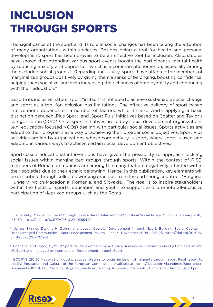### INCLUSION THROUGH SPORTS

The significance of the sport and its role in social changes has been taking the attention of many organizations within societies. Besides being a tool for health and personal development, sport has been proven to be an effective tool for inclusion. Also, studies have shown that attending various sport events boosts the participant's mental health by reducing anxiety and depression which is a common phenomenon, especially among the excluded social groups.<sup>4</sup> Regarding inclusivity, sports have affected the members of marginalized groups positively by giving them a sense of belonging, boosting confidence, helping them socialize, and even increasing their chances of employability and continuing with their education.<sup>5</sup>

Despite its inclusive nature, sport "in itself" is not able to achieve sustainable social change and sport as a tool for inclusion has limitations. The effective delivery of sport-based interventions depends on a number of factors, while it's also worth applying a basic distinction between, Plus Sport' and , Sport Plus' initiatives based on Coalter and Taylor's categorization (2010).<sup>6</sup> Plus sport initiatives are led by social development organizations (e.g. education-focused NGOs) dealing with particular social issues. Sports activities are added to their programs as a way of achieving their broader social objectives. Sport Plus activities are led by organizations whose core activity is sport, where sport is used and adapted in various ways to achieve certain social development objectives.<sup>7</sup>

Sport-based educational interventions have given the possibility to approach tackling social issues within marginalized groups through sports. Within the context of RISE, members of Roma communities are among the many that are negatively affected within their societies due to their ethnic belonging. Hence, in this publication, key elements will be described through collected working practices from the partnering countries (Bulgaria, Hungary, North-Macedonia, Romania, and Slovakia). The goal is to inspire stakeholders within the fields of sports, education and youth to support and promote all-inclusive participation of deprived groups such as the Roma.

4. Laura Kelly, "'Social Inclusion' through Sports-Based Interventions?," Critical Social Policy 31, no. 1 (February 2011): 126–50, [https://doi.org/10.1177/0261018310385442.](https://doi.org/10.1177/0261018310385442)

5. James Skinner, Dwight H. Zakus, and Jacqui Cowell, "Development through Sport: Building Social Capital in Disadvantaged Communities," Sport Management Review 11, no. 3 (November 2008): 253–75, <https://doi.org/10.1016/> S1441-3523(08)70112-8.

6. Coalter, F. and Taylor, J. (2010) Sport-for-development impact study, A research initiative funded by Comic Relief and UK Sport and managed by International Development through Sport.

7. ECORYS (2016) Mapping of good practices relating to social inclusion of migrants through sport Final report to [the DG Education and Culture of the European Commission. Available at: https://kics.sport.vlaanderen/Sporteneu/](https://kics.sport.vlaanderen/Sporteneu/Documents/161101_EC_Mapping_of_good_practices_relating_to_social_inclusion�_of_migrants_through_sport.pdf) Documents/161101\_EC\_Mapping\_of\_good\_practices\_relating\_to\_social\_inclusion£\_of\_migrants\_through\_sport.pdf

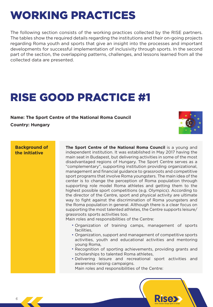### WORKING PRACTICES

The following section consists of the working practices collected by the RISE partners. The tables show the required details regarding the institutions and their on-going projects regarding Roma youth and sports that give an insight into the processes and important developments for successful implementation of inclusivity through sports. In the second part of the section, the overlapping patterns, challenges, and lessons learned from all the collected data are presented.

### RISE GOOD PRACTICE #1

**Name: The Sport Centre of the National Roma Council Country: Hungary** 



**Background of the initiative**

**The Sport Centre of the National Roma Council** is a young and independent institution. It was established in May 2017 having the main seat in Budapest, but delivering activities in some of the most disadvantaged regions of Hungary. The Sport Centre serves as a "complementary", supporting institution providing organizational, management and financial guidance to grassroots and competitive sport programs that involve Roma youngsters. The main idea of the center is to change the perception of Roma population through supporting role model Roma athletes and getting them to the highest possible sport competitions (e.g. Olympics). According to the director of the Centre, sport and physical activity are ultimate way to fight against the discrimination of Roma youngsters and the Roma population in general. Although there is a clear focus on supporting the most talented athletes, the Centre supports leisure/ grassroots sports activities too.

Main roles and responsibilities of the Centre:

- Organization of training camps, management of sports facilities,
- Organization, support and management of competitive sports activities, youth and educational activities and mentoring young Roma,
- Recognition of sporting achievements, providing grants and scholarships to talented Roma athletes,
- Delivering leisure and recreational sport activities and •awareness-raising campaigns.

Main roles and responsibilities of the Centre:

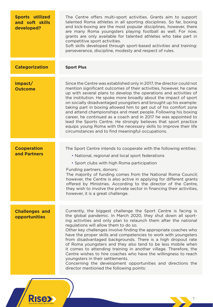| <b>Sports utilized</b><br>and soft skills<br>developed? | The Centre offers multi-sport activities. Grants aim to support<br>talented Roma athletes in all sporting disciplines. So far, boxing<br>and kick-boxing are the most popular disciplines, however, there<br>are many Roma youngsters playing football as well. For now,<br>grants are only available for talented athletes who take part in<br>competitive sport activities.<br>Soft skills developed through sport-based activities and training:<br>perseverance, discipline, modesty and respect of rules.                                                                                                                                                                                                                                                                                             |
|---------------------------------------------------------|------------------------------------------------------------------------------------------------------------------------------------------------------------------------------------------------------------------------------------------------------------------------------------------------------------------------------------------------------------------------------------------------------------------------------------------------------------------------------------------------------------------------------------------------------------------------------------------------------------------------------------------------------------------------------------------------------------------------------------------------------------------------------------------------------------|
| <b>Categorization</b>                                   | <b>Sport Plus</b>                                                                                                                                                                                                                                                                                                                                                                                                                                                                                                                                                                                                                                                                                                                                                                                          |
| Impact/<br><b>Outcome</b>                               | Since the Centre was established only in 2017, the director could not<br>mention significant outcomes of their activities, however, he came<br>up with several plans to develop the operations and activities of<br>the institution. He spoke more broadly about the impact of sport<br>on socially disadvantaged youngsters and brought up his example:<br>taking part in boxing allowed him to get out of his comfort zone<br>and attend championships and meet people. Following his boxing<br>career, he continued as a coach and in 2017 he was appointed to<br>lead the Sports Centre. He strongly believes that sport practice<br>equips young Roma with the necessary skills to improve their life<br>circumstances and to find meaningful occupations.                                            |
| <b>Cooperation</b><br>and Partners                      | The Sport Centre intends to cooperate with the following entities:<br>• National, regional and local sport federations<br>• Sport clubs with high Roma participation<br>Funding partners, donors:<br>The majority of funding comes from the National Roma Council;<br>however, the Centre is also active in applying for different grants<br>offered by Ministries. According to the director of the Centre,<br>they wish to involve the private sector in financing their activities,<br>however, it is a great challenge.                                                                                                                                                                                                                                                                                |
| <b>Challenges and</b><br>opportunities                  | Currently, the biggest challenge the Sport Centre is facing is<br>the global pandemic. In March 2020, they shut down all sport-<br>ing activities and only plan to relaunch them after the national<br>regulations will allow them to do so.<br>Other key challenges involve finding the appropriate coaches who<br>have the proper skills and competencies to work with youngsters<br>from disadvantaged backgrounds. There is a high dropout rate<br>of Roma youngsters and they also tend to be less mobile when<br>it comes to attending training in another village. Therefore, the<br>Centre wishes to hire coaches who have the willingness to reach<br>youngsters in their settlements.<br>Concerning the development opportunities and directions the<br>director mentioned the following points: |

**Rise>**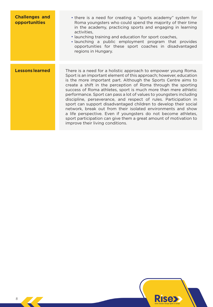| <b>Challenges and</b><br>opportunities | • there is a need for creating a "sports academy" system for<br>Roma youngsters who could spend the majority of their time<br>in the academy, practicing sports and engaging in learning<br>activities,<br>• launching training and education for sport coaches,<br>• launching a public employment program that provides<br>opportunities for these sport coaches in disadvantaged<br>regions in Hungary.                                                                                                                                                                                                                                                                                                                                                                                           |
|----------------------------------------|------------------------------------------------------------------------------------------------------------------------------------------------------------------------------------------------------------------------------------------------------------------------------------------------------------------------------------------------------------------------------------------------------------------------------------------------------------------------------------------------------------------------------------------------------------------------------------------------------------------------------------------------------------------------------------------------------------------------------------------------------------------------------------------------------|
|                                        |                                                                                                                                                                                                                                                                                                                                                                                                                                                                                                                                                                                                                                                                                                                                                                                                      |
| <b>Lessons learned</b>                 | There is a need for a holistic approach to empower young Roma.<br>Sport is an important element of this approach; however, education<br>is the more important part. Although the Sports Centre aims to<br>create a shift in the perception of Roma through the sporting<br>success of Roma athletes, sport is much more than mere athletic<br>performance. Sport can pass a lot of values to youngsters including<br>discipline, perseverance, and respect of rules. Participation in<br>sport can support disadvantaged children to develop their social<br>network, break out from their isolated environments and show<br>a life perspective. Even if youngsters do not become athletes,<br>sport participation can give them a great amount of motivation to<br>improve their living conditions. |

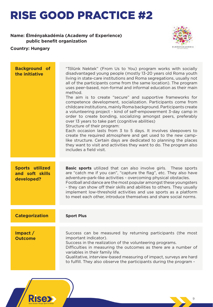#### **Name: Élményakadémia (Academy of Experience)**  public benefit organization



**Rise>** 

| <b>Background of</b><br>the initiative                  | "Tőlünk Nektek" (From Us to You) program works with socially<br>disadvantaged young people (mostly 13-20 years old Roma youth<br>living in state-care institutions and Roma segregations, usually not<br>all of the participants come from the same location). The program<br>uses peer-based, non-formal and informal education as their main<br>method.<br>The aim is to create "secure" and supportive frameworks for<br>competence development, socialization. Participants come from<br>childcare institutions, mainly Roma background. Participants create<br>a volunteering project - kind of self-empowerment 3-day camp in<br>order to create bonding, socializing amongst peers, preferably<br>over 13 years to take part (cognitive abilities)<br>Structure of their program:<br>Each occasion lasts from 3 to 5 days. It involves sleepovers to<br>create the required atmosphere and get used to the new camp-<br>like structure. Certain days are dedicated to planning the places<br>they want to visit and activities they want to do. The program also<br>includes a field visit. |
|---------------------------------------------------------|----------------------------------------------------------------------------------------------------------------------------------------------------------------------------------------------------------------------------------------------------------------------------------------------------------------------------------------------------------------------------------------------------------------------------------------------------------------------------------------------------------------------------------------------------------------------------------------------------------------------------------------------------------------------------------------------------------------------------------------------------------------------------------------------------------------------------------------------------------------------------------------------------------------------------------------------------------------------------------------------------------------------------------------------------------------------------------------------------|
| <b>Sports utilized</b><br>and soft skills<br>developed? | <b>Basic sports</b> utilized that can also involve girls. These sports<br>are "catch me if you can", "capture the flag", etc. They also have<br>adventure-park-like activities - overcoming physical obstacles.<br>Football and dance are the most popular amongst these youngsters<br>- they can show off their skills and abilities to others. They usually<br>implement low-threshold activities and use sports as a platform<br>to meet each other, introduce themselves and share social norms.                                                                                                                                                                                                                                                                                                                                                                                                                                                                                                                                                                                               |
| <b>Categorization</b>                                   | <b>Sport Plus</b>                                                                                                                                                                                                                                                                                                                                                                                                                                                                                                                                                                                                                                                                                                                                                                                                                                                                                                                                                                                                                                                                                  |
| $Im$ pact $/$<br><b>Outcome</b>                         | Success can be measured by returning participants (the most<br>important indicator).<br>Success in the realization of the volunteering programs.<br>Difficulties in measuring the outcomes as there are a number of<br>variables in their family life.<br>Qualitative, interview-based measuring of impact, surveys are hard<br>to fulfill. They also observe the participants during the program -                                                                                                                                                                                                                                                                                                                                                                                                                                                                                                                                                                                                                                                                                                |
|                                                         |                                                                                                                                                                                                                                                                                                                                                                                                                                                                                                                                                                                                                                                                                                                                                                                                                                                                                                                                                                                                                                                                                                    |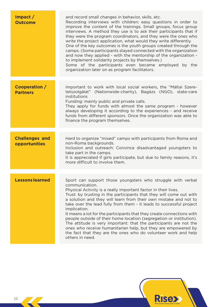| $Im$ pact $/$<br><b>Outcome</b>        | and record small changes in behavior, skills, etc.<br>Recording interviews with children: easy questions in order to<br>improve the content of the trainings. Small groups, focus group<br>interviews. A method they use is to ask their participants that if<br>they were the program coordinators, and they were the ones who<br>write the project application, what would they write differently.<br>One of the key outcomes is the youth groups created through the<br>camps. (Some participants stayed connected with the organization<br>and now they applied - with the mentorship of the organization -<br>to implement solidarity projects by themselves.)<br>Some of the participants even became employed by the<br>organization later on as program facilitators. |
|----------------------------------------|-------------------------------------------------------------------------------------------------------------------------------------------------------------------------------------------------------------------------------------------------------------------------------------------------------------------------------------------------------------------------------------------------------------------------------------------------------------------------------------------------------------------------------------------------------------------------------------------------------------------------------------------------------------------------------------------------------------------------------------------------------------------------------|
|                                        |                                                                                                                                                                                                                                                                                                                                                                                                                                                                                                                                                                                                                                                                                                                                                                               |
| Cooperation /<br><b>Partners</b>       | Important to work with local social workers, the "Máltai Szere-<br>tetszolgálat" (Nationwide-charity), Bagázs (NGO), state-care<br>institutions<br>Funding: mainly public and private calls.<br>They apply for funds with almost the same program - however<br>always developing it according to the experiences - and receive<br>funds from different sponsors. Once the organization was able to<br>finance the program themselves.                                                                                                                                                                                                                                                                                                                                         |
|                                        |                                                                                                                                                                                                                                                                                                                                                                                                                                                                                                                                                                                                                                                                                                                                                                               |
| <b>Challenges and</b><br>opportunities | Hard to organize "mixed" camps with participants from Roma and<br>non-Roma backgrounds.<br>Inclusion and outreach: Convince disadvantaged youngsters to<br>take part in the camps.<br>It is appreciated if girls participate, but due to family reasons, it's<br>more difficult to involve them.                                                                                                                                                                                                                                                                                                                                                                                                                                                                              |
|                                        |                                                                                                                                                                                                                                                                                                                                                                                                                                                                                                                                                                                                                                                                                                                                                                               |
| <b>Lessons learned</b>                 | Sport can support those youngsters who struggle with verbal<br>communication.<br>Physical Activity is a really important factor in their lives.<br>Trust: by trusting in the participants that they will come out with<br>a solution and they will learn from their own mistake and not to<br>take over the lead fully from them - it leads to successful project<br>implication.<br>It means a lot for the participants that they create connections with<br>people outside of their home location (segregation or institution).<br>The attitude is very important: that the participants are not the<br>ones who receive humanitarian help, but they are empowered by<br>the fact that they are the ones who do volunteer work and help<br>others in need.                  |
|                                        |                                                                                                                                                                                                                                                                                                                                                                                                                                                                                                                                                                                                                                                                                                                                                                               |

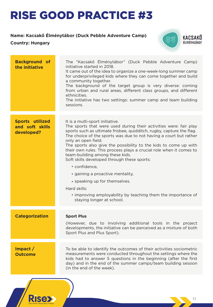#### **Name: Kacsakő Élménytábor (Duck Pebble Adventure Camp)**

#### **Country: Hungary**

**Rise>>** 



| <b>Background of</b><br>the initiative                  | The "Kacsakő Élménytábor" (Duck Pebble Adventure Camp)<br>initiative started in 2018.<br>It came out of the idea to organize a one-week-long summer camp<br>for underprivileged kids where they can come together and build<br>a community together.<br>The background of the target group is very diverse: coming<br>from urban and rural areas, different class groups, and different<br>ethnicities.<br>The initiative has two settings: summer camp and team building<br>sessions.                                                                     |
|---------------------------------------------------------|------------------------------------------------------------------------------------------------------------------------------------------------------------------------------------------------------------------------------------------------------------------------------------------------------------------------------------------------------------------------------------------------------------------------------------------------------------------------------------------------------------------------------------------------------------|
|                                                         |                                                                                                                                                                                                                                                                                                                                                                                                                                                                                                                                                            |
| <b>Sports utilized</b><br>and soft skills<br>developed? | It is a multi-sport initiative.<br>The sports that were used during their activities were: fair play<br>sports such as ultimate frisbee, quidditch, rugby, capture the flag.<br>The choice of the sports was due to not having a court but rather<br>only an open field.<br>The sports also give the possibility to the kids to come up with<br>their own rules. This process plays a crucial role when it comes to<br>team-building among these kids.<br>Soft skills developed through these sports:<br>• confidence,<br>· gaining a proactive mentality, |
|                                                         | • speaking up for themselves.                                                                                                                                                                                                                                                                                                                                                                                                                                                                                                                              |
|                                                         | Hard skills:                                                                                                                                                                                                                                                                                                                                                                                                                                                                                                                                               |
|                                                         | • improving employability by teaching them the importance of<br>staying longer at school.                                                                                                                                                                                                                                                                                                                                                                                                                                                                  |
|                                                         |                                                                                                                                                                                                                                                                                                                                                                                                                                                                                                                                                            |
| <b>Categorization</b>                                   | <b>Sport Plus</b>                                                                                                                                                                                                                                                                                                                                                                                                                                                                                                                                          |
|                                                         | (However, due to involving additional tools in the project<br>developments, the initiative can be perceived as a mixture of both<br>Sport Plus and Plus Sport).                                                                                                                                                                                                                                                                                                                                                                                            |
|                                                         |                                                                                                                                                                                                                                                                                                                                                                                                                                                                                                                                                            |
| $Im$ pact $/$<br><b>Outcome</b>                         | To be able to identify the outcomes of their activities sociometric<br>measurements were conducted throughout the settings where the<br>kids had to answer 5 questions in the beginning (after the first<br>day) and in the end of the summer camps/team building session<br>(in the end of the week).                                                                                                                                                                                                                                                     |
|                                                         |                                                                                                                                                                                                                                                                                                                                                                                                                                                                                                                                                            |
|                                                         |                                                                                                                                                                                                                                                                                                                                                                                                                                                                                                                                                            |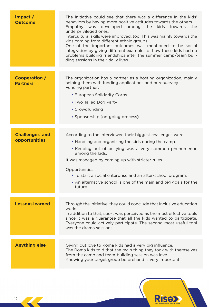| $Im$ pact $/$<br><b>Outcome</b>        | The initiative could see that there was a difference in the kids'<br>behaviors by having more positive attitudes towards the others.<br>Empathy was developed among the kids towards the<br>underprivileged ones.<br>Intercultural skills were improved, too. This was mainly towards the<br>kids coming from different ethnic groups.<br>One of the important outcomes was mentioned to be social<br>integration by giving different examples of how these kids had no<br>problems building friendships after the summer camp/team buil-<br>ding sessions in their daily lives. |
|----------------------------------------|----------------------------------------------------------------------------------------------------------------------------------------------------------------------------------------------------------------------------------------------------------------------------------------------------------------------------------------------------------------------------------------------------------------------------------------------------------------------------------------------------------------------------------------------------------------------------------|
| Cooperation /<br><b>Partners</b>       | The organization has a partner as a hosting organization, mainly<br>helping them with funding applications and bureaucracy.<br>Funding partner:<br>• European Solidarity Corps<br>• Two Tailed Dog Party<br>• Crowdfunding<br>• Sponsorship (on-going process)                                                                                                                                                                                                                                                                                                                   |
| <b>Challenges and</b><br>opportunities | According to the interviewee their biggest challenges were:<br>• Handling and organizing the kids during the camp.<br>• Keeping out of bullying was a very common phenomenon<br>among the kids.<br>It was managed by coming up with stricter rules.<br>Opportunities:<br>• To start a social enterprise and an after-school program.<br>• An alternative school is one of the main and big goals for the<br>future.                                                                                                                                                              |
| <b>Lessons learned</b>                 | Through the initiative, they could conclude that Inclusive education<br>works.<br>In addition to that, sport was perceived as the most effective tools<br>since it was a guarantee that all the kids wanted to participate.<br>Everyone could actively participate. The second most useful tool<br>was the drama sessions.                                                                                                                                                                                                                                                       |
| <b>Anything else</b>                   | Giving out love to Roma kids had a very big influence.<br>The Roma kids told that the main thing they took with themselves<br>from the camp and team-building session was love.<br>Knowing your target group beforehand is very important.                                                                                                                                                                                                                                                                                                                                       |

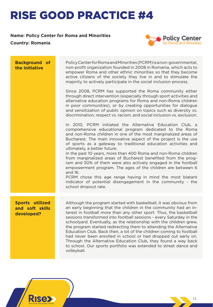#### **Name: Policy Center for Roma and Minorities**

**Country: Romania**



| <b>Background of</b><br>the initiative                  | Policy Center for Roma and Minorities (PCRM) is a non-governmental,<br>non-profit organization founded in 2008 in Romania, which acts to<br>empower Roma and other ethnic minorities so that they become<br>active citizens of the society they live in and to stimulate the<br>majority to actively participate in the social inclusion process.<br>Since 2008, PCRM has supported the Roma community either<br>through direct intervention (especially through sport activities and<br>alternative education programs for Roma and non-Roma children<br>in poor communities), or by creating opportunities for dialogue<br>and sensitization of public opinion on topics such as diversity vs.<br>discrimination, respect vs. racism, and social inclusion vs. exclusion.<br>In 2010, PCRM initiated the Alternative Education Club, a<br>comprehensive educational program dedicated to the Roma<br>and non-Roma children in one of the most marginalized areas of<br>Bucharest. The main innovative aspect of the project is the use<br>of sports as a gateway to traditional education activities and<br>ultimately, a better future.<br>In the past 10 years, more than 400 Roma and non-Roma children<br>from marginalized areas of Bucharest benefited from the prog-<br>ram and 50% of them were also actively engaged in the football<br>empowerment program. The ages of the children are between 6<br>and 16.<br>PCRM chose this age range having in mind the most blatant<br>indicator of potential disengagement in the community - the<br>school dropout rate. |
|---------------------------------------------------------|-------------------------------------------------------------------------------------------------------------------------------------------------------------------------------------------------------------------------------------------------------------------------------------------------------------------------------------------------------------------------------------------------------------------------------------------------------------------------------------------------------------------------------------------------------------------------------------------------------------------------------------------------------------------------------------------------------------------------------------------------------------------------------------------------------------------------------------------------------------------------------------------------------------------------------------------------------------------------------------------------------------------------------------------------------------------------------------------------------------------------------------------------------------------------------------------------------------------------------------------------------------------------------------------------------------------------------------------------------------------------------------------------------------------------------------------------------------------------------------------------------------------------------------------------------------------------------|
| <b>Sports utilized</b><br>and soft skills<br>developed? | Although the program started with basketball, it was obvious from<br>an early beginning that the children in the community had an in-<br>terest in football more than any other sport. Thus, the basketball<br>sessions transformed into football sessions - every Saturday in the<br>schoolyard. Eventually, as the relationship with the children grew,<br>the program started redirecting them to attending the Alternative<br>Education Club. Back then, a lot of the children coming to football<br>had never been enrolled in school or had dropped out early on.<br>Through the Alternative Education Club, they found a way back<br>to school. Our sports portfolio was extended to street dance and<br>volleyball.                                                                                                                                                                                                                                                                                                                                                                                                                                                                                                                                                                                                                                                                                                                                                                                                                                                   |

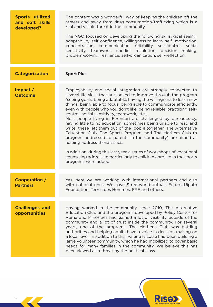| <b>Sports utilized</b><br>and soft skills<br>developed? | The context was a wonderful way of keeping the children off the<br>streets and away from drug consumption/trafficking which is a<br>real and visible threat in the community.<br>The NGO focused on developing the following skills: goal seeing,<br>adaptability, self-confidence, willingness to learn, self- motivation,<br>concentration, communication, reliability, self-control, social<br>sensitivity, teamwork, conflict resolution, decision making,<br>problem-solving, resilience, self-organization, self-reflection.                                                                                                                                                                                                                                                                                                                                                                                                                                  |
|---------------------------------------------------------|---------------------------------------------------------------------------------------------------------------------------------------------------------------------------------------------------------------------------------------------------------------------------------------------------------------------------------------------------------------------------------------------------------------------------------------------------------------------------------------------------------------------------------------------------------------------------------------------------------------------------------------------------------------------------------------------------------------------------------------------------------------------------------------------------------------------------------------------------------------------------------------------------------------------------------------------------------------------|
| <b>Categorization</b>                                   | <b>Sport Plus</b>                                                                                                                                                                                                                                                                                                                                                                                                                                                                                                                                                                                                                                                                                                                                                                                                                                                                                                                                                   |
| Impact /<br><b>Outcome</b>                              | Employability and social integration are strongly connected to<br>several life skills that are looked to improve through the program<br>(seeing goals, being adaptable, having the willingness to learn new<br>things, being able to focus, being able to communicate efficiently,<br>even with people who you don't like, being reliable, practicing self-<br>control, social sensitivity, teamwork, etc.).<br>Most people living in Ferentari are challenged by bureaucracy,<br>having little to no education, sometimes being unable to read and<br>write, these left them out of the loop altogether. The Alternative<br>Education Club, The Sports Program, and The Mothers Club (a<br>program addressed to parents in the community) are aimed at<br>helping address these issues.<br>In addition, during this last year, a series of workshops of vocational<br>counseling addressed particularly to children enrolled in the sports<br>programs were added. |
| <b>Cooperation /</b><br><b>Partners</b>                 | Yes, here we are working with international partners and also<br>with national ones. We have Streetworldfootball, Fedex, Uipath<br>Foundation, Terres des Hommes, FRF and others.                                                                                                                                                                                                                                                                                                                                                                                                                                                                                                                                                                                                                                                                                                                                                                                   |
| <b>Challenges and</b><br>opportunities                  | Having worked in the community since 2010, The Alternative<br>Education Club and the programs developed by Policy Center for<br>Roma and Minorities had gained a lot of visibility outside of the<br>community and a lot of trust inside the community. For several<br>years, one of the programs, The Mothers' Club was battling<br>authorities and helping adults have a voice in decision making on<br>a local level. In addition to this, Valeriu Nicolae had been building a<br>large volunteer community, which he had mobilized to cover basic<br>needs for many families in the community. We believe this has<br>been viewed as a threat by the political class.                                                                                                                                                                                                                                                                                           |

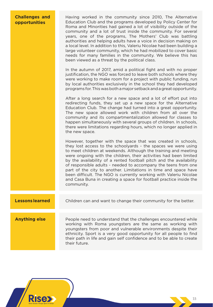#### **Challenges and opportunities**

Having worked in the community since 2010, The Alternative Education Club and the programs developed by Policy Center for Roma and Minorities had gained a lot of visibility outside of the community and a lot of trust inside the community. For several years, one of the programs, The Mothers' Club was battling authorities and helping adults have a voice in decision making on a local level. In addition to this, Valeriu Nicolae had been building a large volunteer community, which he had mobilized to cover basic needs for many families in the community. We believe this has been viewed as a threat by the political class.

In the autumn of 2017, amid a political fight and with no proper justification, the NGO was forced to leave both schools where they were working to make room for a project with public funding, run by local authorities exclusively in the school they had developed programs for. This was both a major setback and a great opportunity.

After a long search for a new space and a lot of effort put into redirecting funds, they set up a new space for the Alternative Education Club. The change had turned into a great opportunity. The new space allowed work with children from all over the community and its compartmentalization allowed for classes to happen simultaneously with several groups of children. In schools, there were limitations regarding hours, which no longer applied in the new space.

However, together with the space that was created in schools, they lost access to the schoolyards - the spaces we were using to meet children at weekends. Although the training and meeting were ongoing with the children, their activities had been limited by the availability of a rented football pitch and the availability of responsible adults - needed to accompany the teens from one part of the city to another. Limitations in time and space have been difficult. The NGO is currently working with Valeriu Nicolae and Casa Buna in creating a space for football practice inside the community.

#### **Lessons learned** Children can and want to change their community for the better.

**Anything else People need to understand that the challenges encountered while** working with Roma youngsters are the same as working with youngsters from poor and vulnerable environments despite their ethnicity. Sport is a very good opportunity for all people to find their path in life and gain self confidence and to be able to create their future.

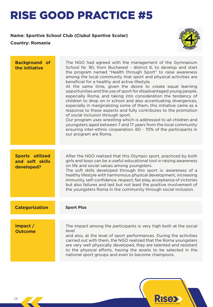#### **Name: Sportive School Club (Clubul Sportive Scolar)**

**Country: Romania**



**Rise>** 

| <b>Background of</b><br>the initiative           | The NGO had agreed with the management of the Gymnasium<br>School Nr. 161, from Bucharest - district 6, to develop and start<br>the program named "Health through Sport" to raise awareness<br>among the local community that sport and physical activities are<br>beneficial for a healthy and active lifestyle.<br>At the same time, given the desire to create equal learning<br>opportunities and the use of sport for disadvantaged young people,<br>especially Roma, and taking into consideration the tendency of<br>children to drop on in school and also accentuating divergences,<br>especially in marginalizing some of them, this initiative came as a<br>response to these aspects and fully contributes to the promotion<br>of social inclusion through sport.<br>Our program uses wrestling which is addressed to all children and<br>youngsters aged between 7 and 17 years from the local community<br>ensuring inter-ethnic cooperation. 60 - 70% of the participants in<br>our program are Roma. |
|--------------------------------------------------|----------------------------------------------------------------------------------------------------------------------------------------------------------------------------------------------------------------------------------------------------------------------------------------------------------------------------------------------------------------------------------------------------------------------------------------------------------------------------------------------------------------------------------------------------------------------------------------------------------------------------------------------------------------------------------------------------------------------------------------------------------------------------------------------------------------------------------------------------------------------------------------------------------------------------------------------------------------------------------------------------------------------|
| Sports utilized<br>and soft skills<br>developed? | After the NGO realized that this Olympic sport, practiced by both<br>girls and boys can be a useful educational tool in raising awareness<br>on life and social values among youngsters.<br>The soft skills developed through this sport is: awareness of a<br>healthy lifestyle with harmonious physical development, increasing<br>immunity, self-confidence, respect, fair play, acceptance of victories<br>but also failures and last but not least the positive involvement of<br>the youngsters Roma in the community through social inclusion.                                                                                                                                                                                                                                                                                                                                                                                                                                                                |
| <b>Categorization</b>                            | <b>Sport Plus</b>                                                                                                                                                                                                                                                                                                                                                                                                                                                                                                                                                                                                                                                                                                                                                                                                                                                                                                                                                                                                    |
| $Im$ pact $/$<br><b>Outcome</b>                  | The impact among the participants is very high both at the social<br>level<br>and also, at the level of sport performances. During the activities<br>carried out with them, the NGO realized that the Roma youngsters<br>are very well physically developed, they are talented and resistant<br>to the physical efforts, having the assets to be selected in the<br>national sport groups and even to become champions.                                                                                                                                                                                                                                                                                                                                                                                                                                                                                                                                                                                              |

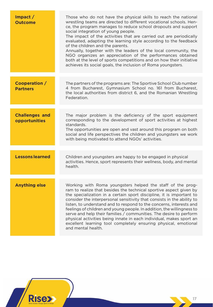| $Im$ pact $/$<br><b>Outcome</b>        | Those who do not have the physical skills to reach the national<br>wrestling teams are directed to different vocational schools. Hen-<br>ce, the program manages to reduce school dropouts and support<br>social integration of young people.<br>The impact of the activities that are carried out are periodically<br>evaluated, adapting the learning style according to the feedback<br>of the children and the parents.<br>Annually, together with the leaders of the local community, the<br>NGO organizes an appreciation of the performances obtained<br>both at the level of sports competitions and on how their initiative<br>achieves its social goals, the inclusion of Roma youngsters. |
|----------------------------------------|------------------------------------------------------------------------------------------------------------------------------------------------------------------------------------------------------------------------------------------------------------------------------------------------------------------------------------------------------------------------------------------------------------------------------------------------------------------------------------------------------------------------------------------------------------------------------------------------------------------------------------------------------------------------------------------------------|
| Cooperation /<br><b>Partners</b>       | The partners of the programs are: The Sportive School Club number<br>4 from Bucharest, Gymnasium School no. 161 from Bucharest,<br>the local authorities from district 6, and the Romanian Wrestling<br>Federation.                                                                                                                                                                                                                                                                                                                                                                                                                                                                                  |
| <b>Challenges and</b><br>opportunities | The major problem is the deficiency of the sport equipment<br>corresponding to the development of sport activities at highest<br>standards.<br>The opportunities are open and vast around this program on both<br>social and life perspectives the children and youngsters we work<br>with being motivated to attend NGOs' activities.                                                                                                                                                                                                                                                                                                                                                               |
| <b>Lessons learned</b>                 | Children and youngsters are happy to be engaged in physical<br>activities. Hence, sport represents their wellness, body, and mental<br>health.                                                                                                                                                                                                                                                                                                                                                                                                                                                                                                                                                       |
| <b>Anything else</b>                   | Working with Roma youngsters helped the staff of the prog-<br>ram to realize that besides the technical sportive aspect given by<br>the specialization in a certain sport discipline, it is important to<br>consider the interpersonal sensitivity that consists in the ability to<br>listen, to understand and to respond to the concerns, interests and<br>feelings of children and young people. In addition, the willingness to<br>serve and help their families / communities. The desire to perform<br>physical activities being innate in each individual, makes sport an<br>excellent learning tool completely ensuring physical, emotional<br>and mental health.                            |

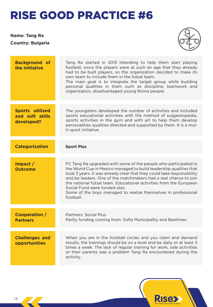#### **Name: Tang Ra Country: Bulgaria**



| <b>Background of</b><br>the initiative                  | Tang Ra started in 2013 intending to help them start playing<br>football, since the players were at such an age that they already<br>had to be built players, so the organization decided to make its<br>own team to include them in the futsal team.<br>The main goal is to integrate the target group while building<br>personal qualities in them such as discipline, teamwork and<br>organization, disadvantaged young Roma people.                                   |
|---------------------------------------------------------|---------------------------------------------------------------------------------------------------------------------------------------------------------------------------------------------------------------------------------------------------------------------------------------------------------------------------------------------------------------------------------------------------------------------------------------------------------------------------|
|                                                         |                                                                                                                                                                                                                                                                                                                                                                                                                                                                           |
| <b>Sports utilized</b><br>and soft skills<br>developed? | The youngsters developed the number of activities and included<br>sports educational activities with the method of suggestopedia,<br>sports activities in the gym and with art to help them develop<br>personalities qualities directed and supported by them. It is a mul-<br>ti-sport initiative.                                                                                                                                                                       |
|                                                         |                                                                                                                                                                                                                                                                                                                                                                                                                                                                           |
| <b>Categorization</b>                                   | <b>Sport Plus</b>                                                                                                                                                                                                                                                                                                                                                                                                                                                         |
|                                                         |                                                                                                                                                                                                                                                                                                                                                                                                                                                                           |
| $Im$ pact $/$<br><b>Outcome</b>                         | FC Tang Ra upgraded with some of the people who participated in<br>the World Cup in Mexico managed to build leadership qualities that<br>took 3 years. It was already clear that they could take responsibility<br>and be leaders. One of the matchmakers had a real chance to join<br>the national futsal team. Educational activities from the European<br>Social Fund were funded also.<br>Some of the boys managed to realize themselves in professional<br>football. |
|                                                         |                                                                                                                                                                                                                                                                                                                                                                                                                                                                           |
| Cooperation /<br><b>Partners</b>                        | <b>Partners: Social Plus</b><br>Partly funding coming from: Sofia Municipality and Bestimex.                                                                                                                                                                                                                                                                                                                                                                              |
|                                                         |                                                                                                                                                                                                                                                                                                                                                                                                                                                                           |
| <b>Challenges and</b><br>opportunities                  | When you are in the football circles and you claim and demand<br>results, the trainings should be on a level and be daily or at least 3<br>times a week. The lack of regular training for work, side activities<br>or their parents was a problem Tang Ra encountered during the<br>activity.                                                                                                                                                                             |

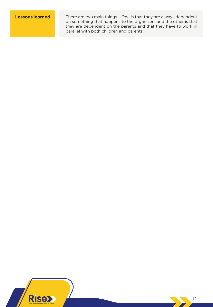**Lessons learned** There are two main things - One is that they are always dependent on something that happens to the organizers and the other is that they are dependent on the parents and that they have to work in parallel with both children and parents.

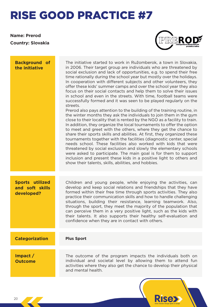**Name: Prerod Country: Slovakia**



**Rise** 

| <b>Background of</b><br>the initiative                  | The initiative started to work in Ružomberok, a town in Slovakia,<br>in 2006. Their target group are individuals who are threatened by<br>social exclusion and lack of opportunities, e.g. to spend their free<br>time rationally during the school year but mostly over the holidays.<br>In cooperation with different subjects and other volunteers, they<br>offer these kids' summer camps and over the school year they also<br>focus on their social contacts and help them to solve their issues<br>in school and even in the streets. With time, football teams were<br>successfully formed and it was seen to be played regularly on the<br>streets.<br>Prerod also pays attention to the building of the training routine, in<br>the winter months they ask the individuals to join them in the gym<br>close to their locality that is rented by the NGO as a facility to train.<br>In addition, they organize the local tournaments to offer the option<br>to meet and greet with the others, where they get the chance to<br>share their sports skills and abilities. At first, they organized these<br>tournaments together with the facilities (diagnostic center, special<br>needs school. These facilities also worked with kids that were<br>threatened by social exclusion and slowly the elementary schools<br>were asked to participate. The main goal is for them to support<br>inclusion and present these kids in a positive light to others and<br>show their talents, skills, abilities, and hobbies. |
|---------------------------------------------------------|-------------------------------------------------------------------------------------------------------------------------------------------------------------------------------------------------------------------------------------------------------------------------------------------------------------------------------------------------------------------------------------------------------------------------------------------------------------------------------------------------------------------------------------------------------------------------------------------------------------------------------------------------------------------------------------------------------------------------------------------------------------------------------------------------------------------------------------------------------------------------------------------------------------------------------------------------------------------------------------------------------------------------------------------------------------------------------------------------------------------------------------------------------------------------------------------------------------------------------------------------------------------------------------------------------------------------------------------------------------------------------------------------------------------------------------------------------------------------------------------------------------------------------|
| <b>Sports utilized</b><br>and soft skills<br>developed? | Children and young people, while enjoying the activities, can<br>develop and keep social relations and friendships that they have<br>formed within their free time through sports activities. They also<br>practice their communication skills and how to handle challenging<br>situations, building their resistance, learning teamwork. Also,<br>through the sport, they meet the majority of the population that<br>can perceive them in a very positive light, such as the kids with<br>their talents. It also supports their healthy self-evaluation and<br>confidence when they are in contact with others.                                                                                                                                                                                                                                                                                                                                                                                                                                                                                                                                                                                                                                                                                                                                                                                                                                                                                                             |
| <b>Categorization</b>                                   | <b>Plus Sport</b>                                                                                                                                                                                                                                                                                                                                                                                                                                                                                                                                                                                                                                                                                                                                                                                                                                                                                                                                                                                                                                                                                                                                                                                                                                                                                                                                                                                                                                                                                                             |
| $Im$ pact $/$<br><b>Outcome</b>                         | The outcome of the program impacts the individuals both on<br>individual and societal level by allowing them to attend fun<br>activities where they also get the chance to develop their physical<br>and mental health.                                                                                                                                                                                                                                                                                                                                                                                                                                                                                                                                                                                                                                                                                                                                                                                                                                                                                                                                                                                                                                                                                                                                                                                                                                                                                                       |
|                                                         |                                                                                                                                                                                                                                                                                                                                                                                                                                                                                                                                                                                                                                                                                                                                                                                                                                                                                                                                                                                                                                                                                                                                                                                                                                                                                                                                                                                                                                                                                                                               |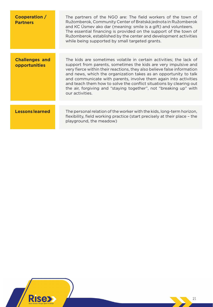| Cooperation /<br><b>Partners</b>       | The partners of the NGO are: The field workers of the town of<br>Ružomberok, Community Center of Bratská jednota in Ružomberok<br>and KC Usmev ako dar (meaning: smile is a gift) and volunteers.<br>The essential financing is provided on the support of the town of<br>Ružomberok, established by the center and development activities<br>while being supported by small targeted grants.                                                                                                                           |
|----------------------------------------|-------------------------------------------------------------------------------------------------------------------------------------------------------------------------------------------------------------------------------------------------------------------------------------------------------------------------------------------------------------------------------------------------------------------------------------------------------------------------------------------------------------------------|
|                                        |                                                                                                                                                                                                                                                                                                                                                                                                                                                                                                                         |
| <b>Challenges and</b><br>opportunities | The kids are sometimes volatile in certain activities; the lack of<br>support from parents, sometimes the kids are very impulsive and<br>very fierce within their reactions, they also believe false information<br>and news, which the organization takes as an opportunity to talk<br>and communicate with parents, involve them again into activities<br>and teach them how to solve the conflict situations by clearing out<br>the air, forgiving and "staying together", not "breaking up" with<br>our activities. |
|                                        |                                                                                                                                                                                                                                                                                                                                                                                                                                                                                                                         |
| <b>Lessons learned</b>                 | The personal relation of the worker with the kids, long-term horizon,<br>flexibility, field working practice (start precisely at their place - the<br>playground, the meadow)                                                                                                                                                                                                                                                                                                                                           |

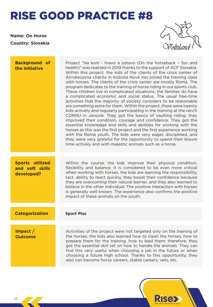**Name: On Horse Country: Slovakia**



| <b>Background</b> of<br>the initiative                  | Project "Na koni - hravo a zdravo (On the horseback - fun and<br>health)" was realized in 2019 thanks to the support of ACF Slovakia.<br>Within this project, the kids of the clients of the crisis center of<br>Arcidiecezna charita in Košická Nová Ves joined the training class<br>with horses. The clients of the crisis center are mostly Roma. The<br>program dedicates to the training of horse riding in our sports club.<br>These children live in complicated situations; the families do have<br>a complicated economic and social status. The usual free-time<br>activities that the majority of society considers to be reasonable<br>are something extra for them. Within the project, there were twenty<br>kids actively and regularly participating in the training at the ranch<br>CORNU in Janovik. They got the basics of vaulting riding; they<br>improved their condition, courage and confidence. They got the<br>essential knowledge and skills and abilities for working with the<br>horses as this was the first project and the first experience working<br>with the Roma youth. The kids were very eager, disciplined, and<br>they were very grateful for the opportunity to spend their leisure<br>time actively and with majestic animals such as a horse. |
|---------------------------------------------------------|------------------------------------------------------------------------------------------------------------------------------------------------------------------------------------------------------------------------------------------------------------------------------------------------------------------------------------------------------------------------------------------------------------------------------------------------------------------------------------------------------------------------------------------------------------------------------------------------------------------------------------------------------------------------------------------------------------------------------------------------------------------------------------------------------------------------------------------------------------------------------------------------------------------------------------------------------------------------------------------------------------------------------------------------------------------------------------------------------------------------------------------------------------------------------------------------------------------------------------------------------------------------------------------|
| <b>Sports utilized</b><br>and soft skills<br>developed? | Within the course, the kids improve their physical condition,<br>flexibility and balance. It is considered to be even more critical<br>when working with horses, the kids are learning the responsibility,<br>tact, ability to react quickly, they boost their confidence because<br>they are overcoming their natural barrier, and they also learned to<br>believe in the other individual. The positive interaction with horses<br>is generally well known. The experience also confirms the positive<br>impact of these animals on the youth.                                                                                                                                                                                                                                                                                                                                                                                                                                                                                                                                                                                                                                                                                                                                         |
| <b>Categorization</b>                                   | <b>Sport Plus</b>                                                                                                                                                                                                                                                                                                                                                                                                                                                                                                                                                                                                                                                                                                                                                                                                                                                                                                                                                                                                                                                                                                                                                                                                                                                                        |
| $Im$ pact $/$<br><b>Outcome</b>                         | Activities of the project were not targeted only on the training of<br>the horses; the kids also learned how to clean the horses, how to<br>prepare them for the training, how to lead them; therefore, they<br>got the essential skill set on how to handle the animals. They can<br>find this very useful when choosing a job in the future or when<br>choosing a future high school. Thanks to this opportunity, they<br>also can become horse careers, stable careers, vets, etc.                                                                                                                                                                                                                                                                                                                                                                                                                                                                                                                                                                                                                                                                                                                                                                                                    |

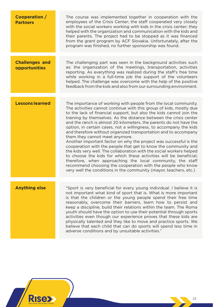| Cooperation /<br><b>Partners</b>       | The course was implemented together in cooperation with the<br>employees of the Crisis Center; the staff cooperated very closely<br>with the social workers working with kids in the crisis center; they<br>helped with the organization and communication with the kids and<br>their parents. The project had to be stopped as it was financed<br>from the grant program by ACF Slovakia. Unfortunately, after the<br>program was finished, no further sponsorship was found.                                                                                                                                                                                                                                                                                                                                                                                                                                                                                                                                           |
|----------------------------------------|--------------------------------------------------------------------------------------------------------------------------------------------------------------------------------------------------------------------------------------------------------------------------------------------------------------------------------------------------------------------------------------------------------------------------------------------------------------------------------------------------------------------------------------------------------------------------------------------------------------------------------------------------------------------------------------------------------------------------------------------------------------------------------------------------------------------------------------------------------------------------------------------------------------------------------------------------------------------------------------------------------------------------|
| <b>Challenges and</b><br>opportunities | The challenging part was seen in the background activities such<br>as: the organization of the meetings, transportation, activities<br>reporting. As everything was realized during the staff's free time<br>while working in a full-time job the support of the volunteers<br>helped. The challenge was overcome with the help of the positive<br>feedback from the kids and also from our surrounding environment.                                                                                                                                                                                                                                                                                                                                                                                                                                                                                                                                                                                                     |
| <b>Lessons learned</b>                 | The importance of working with people from the local community.<br>The activities cannot continue with this group of kids, mostly due<br>to the lack of financial support, but also the kids cannot join the<br>training by themselves. As the distance between the crisis center<br>and the ranch is almost 20 kilometers, the parents do not have the<br>option, in certain cases, not a willingness, to accompany the kids<br>and therefore without organized transportation and to accompany<br>them they cannot meet anymore.<br>Another important factor on why the project was successful is the<br>cooperation with the people that get to know the community and<br>the kids very well. The collaboration with the social workers helped<br>to choose the kids for which these activities will be beneficial;<br>therefore, when approaching the local community, the staff<br>recommend choosing the cooperation with the people who know<br>very well the conditions in the community (mayor, teachers, etc.) |
| <b>Anything else</b>                   | "Sport is very beneficial for every young individual. I believe it is<br>not important what kind of sport that is. What is more important<br>is that the children or the young people spend their free time<br>reasonably, overcome their barriers, learn how to persist and<br>keep a discipline, build their relations within the team. The Roma<br>youth should have the option to use their potential through sports<br>activities even though our experience proves that these kids are<br>physically talented and they like to move and practice sports. We<br>believe that each child that can do sports will spend less time in<br>adverse conditions and by unsuitable activities."                                                                                                                                                                                                                                                                                                                             |

**Rise**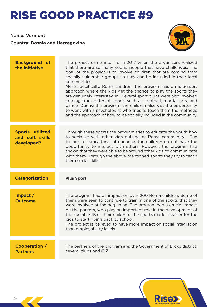**Name: Vermont**

**Country: Bosnia and Herzegovina**



| <b>Background of</b><br>the initiative                  | The project came into life in 2017 when the organizers realized<br>that there are so many young people that have challenges. The<br>goal of the project is to involve children that are coming from<br>socially vulnerable groups so they can be included in their local<br>communities.<br>More specifically, Roma children. The program has a multi-sport<br>approach where the kids get the chance to play the sports they<br>are genuinely interested in. Several sport clubs were also involved<br>coming from different sports such as: football, martial arts, and<br>dance. During the program the children also get the opportunity<br>to work with a psychologist who tries to teach them the methods<br>and the approach of how to be socially included in the community. |
|---------------------------------------------------------|--------------------------------------------------------------------------------------------------------------------------------------------------------------------------------------------------------------------------------------------------------------------------------------------------------------------------------------------------------------------------------------------------------------------------------------------------------------------------------------------------------------------------------------------------------------------------------------------------------------------------------------------------------------------------------------------------------------------------------------------------------------------------------------|
|                                                         |                                                                                                                                                                                                                                                                                                                                                                                                                                                                                                                                                                                                                                                                                                                                                                                      |
| <b>Sports utilized</b><br>and soft skills<br>developed? | Through these sports the program tries to educate the youth how<br>to socialize with other kids outside of Roma community. Due<br>to lack of educational attendance, the children do not have the<br>opportunity to interact with others. However, the program had<br>shown that they were able to be around other kids, to communicate<br>with them. Through the above-mentioned sports they try to teach<br>them social skills.                                                                                                                                                                                                                                                                                                                                                    |
|                                                         |                                                                                                                                                                                                                                                                                                                                                                                                                                                                                                                                                                                                                                                                                                                                                                                      |
| <b>Categorization</b>                                   | <b>Plus Sport</b>                                                                                                                                                                                                                                                                                                                                                                                                                                                                                                                                                                                                                                                                                                                                                                    |
|                                                         |                                                                                                                                                                                                                                                                                                                                                                                                                                                                                                                                                                                                                                                                                                                                                                                      |
| $Im$ pact $/$<br><b>Outcome</b>                         | The program had an impact on over 200 Roma children. Some of<br>them were seen to continue to train in one of the sports that they<br>were involved at the beginning. The program had a crucial impact<br>on the parents, who play an important role in the development of<br>the social skills of their children. The sports made it easier for the<br>kids to start going back to school.<br>The project is believed to have more impact on social integration<br>than employability levels.                                                                                                                                                                                                                                                                                       |
|                                                         |                                                                                                                                                                                                                                                                                                                                                                                                                                                                                                                                                                                                                                                                                                                                                                                      |
| Cooperation /<br><b>Partners</b>                        | The partners of the program are: the Government of Brcko district;<br>several clubs and GIZ.                                                                                                                                                                                                                                                                                                                                                                                                                                                                                                                                                                                                                                                                                         |
|                                                         |                                                                                                                                                                                                                                                                                                                                                                                                                                                                                                                                                                                                                                                                                                                                                                                      |

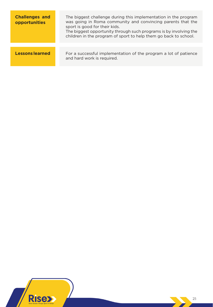| <b>Challenges and</b><br>opportunities | The biggest challenge during this implementation in the program<br>was going in Roma community and convincing parents that the<br>sport is good for their kids.<br>The biggest opportunity through such programs is by involving the<br>children in the program of sport to help them go back to school. |
|----------------------------------------|----------------------------------------------------------------------------------------------------------------------------------------------------------------------------------------------------------------------------------------------------------------------------------------------------------|
|                                        |                                                                                                                                                                                                                                                                                                          |
| <b>Lessons learned</b>                 | For a successful implementation of the program a lot of patience<br>and hard work is required.                                                                                                                                                                                                           |

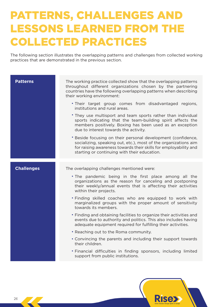### PATTERNS, CHALLENGES AND LESSONS LEARNED FROM THE COLLECTED PRACTICES

The following section illustrates the overlapping patterns and challenges from collected working practices that are demonstrated in the previous section.

| <b>Patterns</b>   | The working practice collected show that the overlapping patterns<br>throughout different organizations chosen by the partnering<br>countries have the following overlapping patterns when describing<br>their working environment:<br>. Their target group comes from disadvantaged regions, |
|-------------------|-----------------------------------------------------------------------------------------------------------------------------------------------------------------------------------------------------------------------------------------------------------------------------------------------|
|                   | institutions and rural areas.                                                                                                                                                                                                                                                                 |
|                   | • They use multisport and team sports rather than individual<br>sports indicating that the team-building spirit affects the<br>members positively. Boxing has been used as an exception<br>due to interest towards the activity.                                                              |
|                   | * Beside focusing on their personal development (confidence,<br>socializing, speaking out, etc.), most of the organizations aim<br>for raising awareness towards their skills for employability and<br>starting or continuing with their education.                                           |
| <b>Challenges</b> | The overlapping challenges mentioned were:                                                                                                                                                                                                                                                    |
|                   | . The pandemic being in the first place among all the<br>organizations as the reason for canceling and postponing<br>their weekly/annual events that is affecting their activities                                                                                                            |
|                   | within their projects.                                                                                                                                                                                                                                                                        |
|                   | . Finding skilled coaches who are equipped to work with<br>marginalized groups with the proper amount of sensitivity<br>towards its members.                                                                                                                                                  |
|                   | • Finding and obtaining facilities to organize their activities and<br>events due to authority and politics. This also includes having<br>adequate equipment required for fulfilling their activities.                                                                                        |
|                   | • Reaching out to the Roma community.                                                                                                                                                                                                                                                         |
|                   | • Convincing the parents and including their support towards<br>their children.                                                                                                                                                                                                               |
|                   | . Financial difficulties in finding sponsors, including limited<br>support from public institutions.                                                                                                                                                                                          |

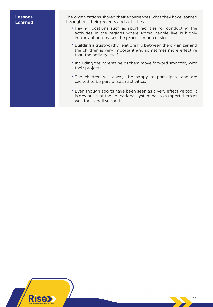#### **Lessons Learned**

The organizations shared their experiences what they have learned throughout their projects and activities:

- Having locations such as sport facilities for conducting the activities in the regions where Roma people live is highly important and makes the process much easier.
- Building a trustworthy relationship between the organizer and the children is very important and sometimes more effective than the activity itself.
- Including the parents helps them move forward smoothly with their projects.
- The children will always be happy to participate and are excited to be part of such activities.
- Even though sports have been seen as a very effective tool it is obvious that the educational system has to support them as well for overall support.

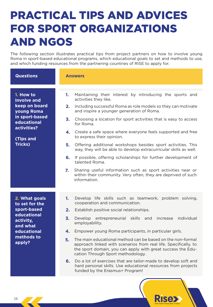### PRACTICAL TIPS AND ADVICES FOR SPORT ORGANIZATIONS AND NGOS

The following section illustrates practical tips from project partners on how to involve young Roma in sport-based educational programs, which educational goals to set and methods to use, and which funding resources from the partnering countries of RISE to apply for.

| <b>Questions</b>                                                                                                                       | <b>Answers</b>                                                                                                                                                                                                                                                                                                                                                                                                                                                                                                                                                                                                                                                                                                                                                                                          |
|----------------------------------------------------------------------------------------------------------------------------------------|---------------------------------------------------------------------------------------------------------------------------------------------------------------------------------------------------------------------------------------------------------------------------------------------------------------------------------------------------------------------------------------------------------------------------------------------------------------------------------------------------------------------------------------------------------------------------------------------------------------------------------------------------------------------------------------------------------------------------------------------------------------------------------------------------------|
| 1. How to<br>involve and<br>keep on board<br>young Roma<br>in sport-based<br>educational<br>activities?<br>(Tips and<br><b>Tricks)</b> | Maintaining their interest by introducing the sports and<br>1.<br>activities they like.<br>Including successful Roma as role models so they can motivate<br>2.<br>and inspire a younger generation of Roma.<br>3.<br>Choosing a location for sport activities that is easy to access<br>for Roma.<br>Create a safe space where everyone feels supported and free<br>4.<br>to express their opinion.<br>5.<br>Offering additional workshops besides sport activities. This<br>way, they will be able to develop extracurricular skills as well.<br>If possible, offering scholarships for further development of<br>6.<br>talented Roma.<br>$\mathbf{Z}$<br>Sharing useful information such as sport activities near or<br>within their community. Very often, they are deprived of such<br>information. |
| 2. What goals<br>to set for the<br>sport-based<br>educational<br>activity,<br>and what<br>educational<br>methods to<br>apply?          | Develop life skills such as teamwork, problem solving,<br>1.<br>cooperation and communication.<br>2.<br>Establish positive social relationships.<br>individual<br>3.<br>entrepreneurial skills and<br>Develop<br>increase<br>employability.<br>Empower young Roma participants, in particular girls.<br>4.<br>The main educational method can be based on the non-formal<br>5.<br>approach linked with scenarios from real life. Specifically, to<br>the sport domain, you can apply with great success the Edu-<br>cation Through Sport methodology.<br>Do a lot of exercises that are tailor-made to develop soft and<br>6.<br>hard personal skills. Use educational resources from projects<br>funded by the Erasmus+ Program!                                                                       |

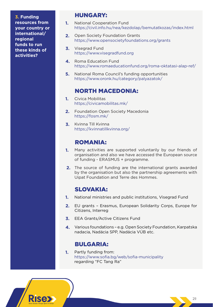**3. Funding resources from your country or international/ regional funds to run these kinds of activities?**

#### HUNGARY:

- National Cooperation Fund <https://civil.info.hu/nea/kezdolap/bemutatkozas/index.html> **1.**
- Open Society Foundation Grants <https://www.opensocietyfoundations.org/grants> **2.**
- Visegrad Fund <https://www.visegradfund.org> **3.**
- Roma Education Fund <https://www.romaeducationfund.org/roma-oktatasi-alap-ref/> **4.**
- National Roma Council's funding opportunities <https://www.oronk.hu/category/palyazatok/> **5.**

#### NORTH MACEDONIA:

- Civica Mobilitas <https://civicamobilitas.mk/> **1.**
- Foundation Open Society Macedonia <https://fosm.mk/> **2.**
- Kvinna Till Kvinna <https://kvinnatillkvinna.org/> **3.**

#### ROMANIA:

- Many activities are supported voluntarily by our friends of organisation and also we have accessed the European source of funding - ERASMUS + programme. **1.**
- The source of funding are the international grants awarded **2.** by the organisation but also the partnership agreements with Uipat Foundation and Terre des Hommes.

### SLOVAKIA:

- **1.** National ministries and public institutions, Visegrad Fund
- EU grants Erasmus, European Solidarity Corps, Europe for **2.** Citizens, Interreg
- **3.** EEA Grants/Active Citizens Fund
- Various foundations e.g. Open Society Foundation, Karpatska nadacia, Nadácia SPP, Nadácia VÚB etc. **4.**

### BULGARIA:

Partly funding from: https://www.sofia.bg/web/sofia-municipality regarding "FC Tang Ra" **1.**